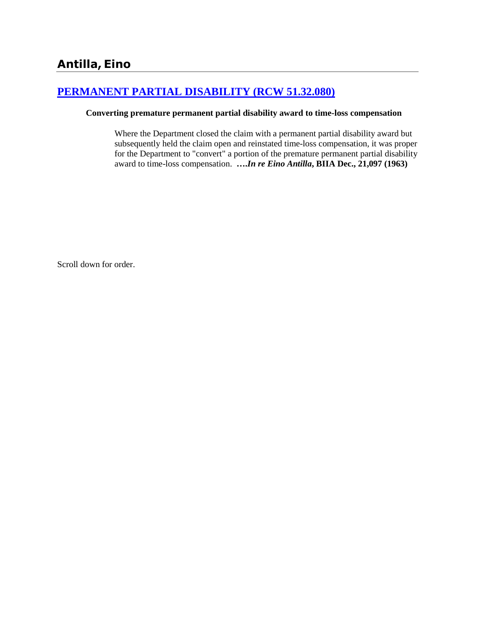# **[PERMANENT PARTIAL DISABILITY \(RCW 51.32.080\)](http://www.biia.wa.gov/SDSubjectIndex.html#PERMANENT_PARTIAL_DISABILITY)**

#### **Converting premature permanent partial disability award to time-loss compensation**

Where the Department closed the claim with a permanent partial disability award but subsequently held the claim open and reinstated time-loss compensation, it was proper for the Department to "convert" a portion of the premature permanent partial disability award to time-loss compensation. **….***In re Eino Antilla***, BIIA Dec., 21,097 (1963)**

Scroll down for order.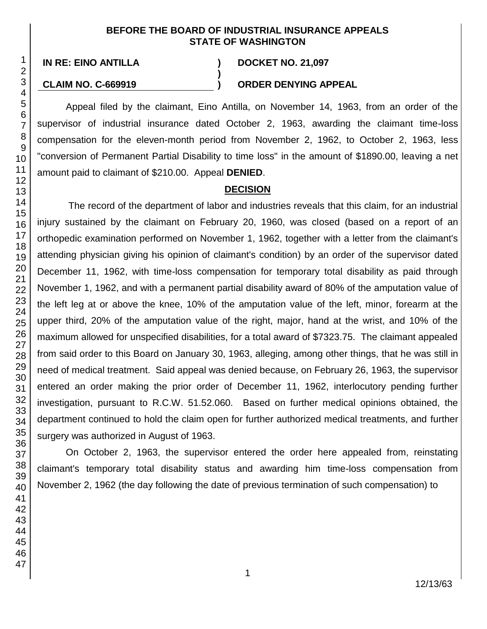#### **BEFORE THE BOARD OF INDUSTRIAL INSURANCE APPEALS STATE OF WASHINGTON**

**)**

**IN RE: EINO ANTILLA ) DOCKET NO. 21,097**

#### **CLAIM NO. C-669919 ) ORDER DENYING APPEAL**

Appeal filed by the claimant, Eino Antilla, on November 14, 1963, from an order of the supervisor of industrial insurance dated October 2, 1963, awarding the claimant time-loss compensation for the eleven-month period from November 2, 1962, to October 2, 1963, less "conversion of Permanent Partial Disability to time loss" in the amount of \$1890.00, leaving a net amount paid to claimant of \$210.00. Appeal **DENIED**.

# **DECISION**

The record of the department of labor and industries reveals that this claim, for an industrial injury sustained by the claimant on February 20, 1960, was closed (based on a report of an orthopedic examination performed on November 1, 1962, together with a letter from the claimant's attending physician giving his opinion of claimant's condition) by an order of the supervisor dated December 11, 1962, with time-loss compensation for temporary total disability as paid through November 1, 1962, and with a permanent partial disability award of 80% of the amputation value of the left leg at or above the knee, 10% of the amputation value of the left, minor, forearm at the upper third, 20% of the amputation value of the right, major, hand at the wrist, and 10% of the maximum allowed for unspecified disabilities, for a total award of \$7323.75. The claimant appealed from said order to this Board on January 30, 1963, alleging, among other things, that he was still in need of medical treatment. Said appeal was denied because, on February 26, 1963, the supervisor entered an order making the prior order of December 11, 1962, interlocutory pending further investigation, pursuant to R.C.W. 51.52.060. Based on further medical opinions obtained, the department continued to hold the claim open for further authorized medical treatments, and further surgery was authorized in August of 1963.

On October 2, 1963, the supervisor entered the order here appealed from, reinstating claimant's temporary total disability status and awarding him time-loss compensation from November 2, 1962 (the day following the date of previous termination of such compensation) to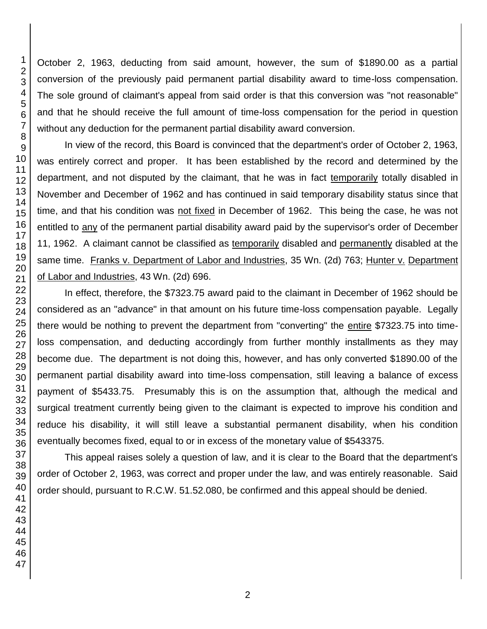October 2, 1963, deducting from said amount, however, the sum of \$1890.00 as a partial conversion of the previously paid permanent partial disability award to time-loss compensation. The sole ground of claimant's appeal from said order is that this conversion was "not reasonable" and that he should receive the full amount of time-loss compensation for the period in question without any deduction for the permanent partial disability award conversion.

In view of the record, this Board is convinced that the department's order of October 2, 1963, was entirely correct and proper. It has been established by the record and determined by the department, and not disputed by the claimant, that he was in fact temporarily totally disabled in November and December of 1962 and has continued in said temporary disability status since that time, and that his condition was not fixed in December of 1962. This being the case, he was not entitled to any of the permanent partial disability award paid by the supervisor's order of December 11, 1962. A claimant cannot be classified as temporarily disabled and permanently disabled at the same time. Franks v. Department of Labor and Industries, 35 Wn. (2d) 763; Hunter v. Department of Labor and Industries, 43 Wn. (2d) 696.

In effect, therefore, the \$7323.75 award paid to the claimant in December of 1962 should be considered as an "advance" in that amount on his future time-loss compensation payable. Legally there would be nothing to prevent the department from "converting" the entire \$7323.75 into timeloss compensation, and deducting accordingly from further monthly installments as they may become due. The department is not doing this, however, and has only converted \$1890.00 of the permanent partial disability award into time-loss compensation, still leaving a balance of excess payment of \$5433.75. Presumably this is on the assumption that, although the medical and surgical treatment currently being given to the claimant is expected to improve his condition and reduce his disability, it will still leave a substantial permanent disability, when his condition eventually becomes fixed, equal to or in excess of the monetary value of \$543375.

This appeal raises solely a question of law, and it is clear to the Board that the department's order of October 2, 1963, was correct and proper under the law, and was entirely reasonable. Said order should, pursuant to R.C.W. 51.52.080, be confirmed and this appeal should be denied.